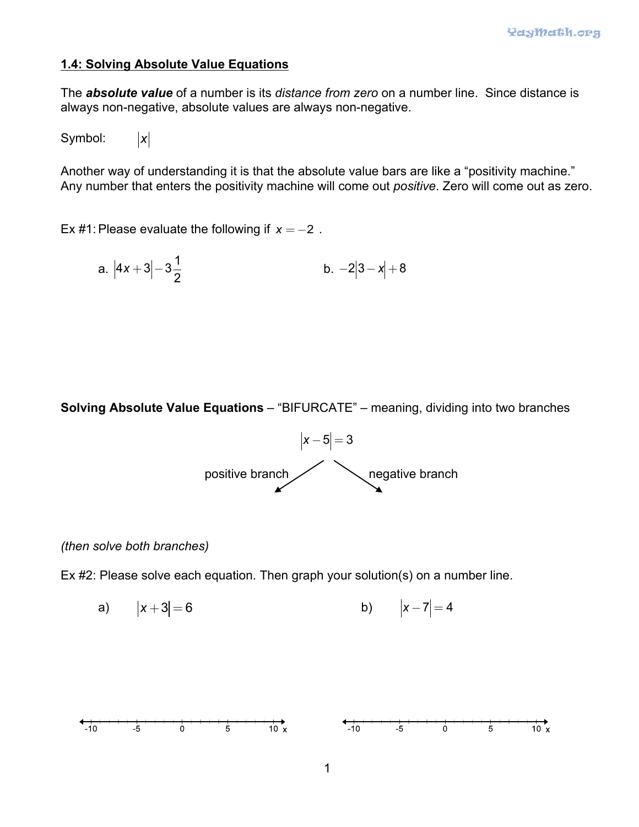## **1.4: Solving Absolute Value Equations**

The *absolute value* of a number is its *distance from zero* on a number line. Since distance is always non-negative, absolute values are always non-negative.

Symbol: *x*

Another way of understanding it is that the absolute value bars are like a "positivity machine." Any number that enters the positivity machine will come out *positive*. Zero will come out as zero.

Ex #1: Please evaluate the following if  $x = -2$ .

a. 
$$
|4x+3|-3\frac{1}{2}
$$
 b.  $-2|3-x|+8$ 

**Solving Absolute Value Equations** – "BIFURCATE" – meaning, dividing into two branches



## *(then solve both branches)*

Ex #2: Please solve each equation. Then graph your solution(s) on a number line.

a) 
$$
|x+3|=6
$$
 b)  $|x-7|=4$